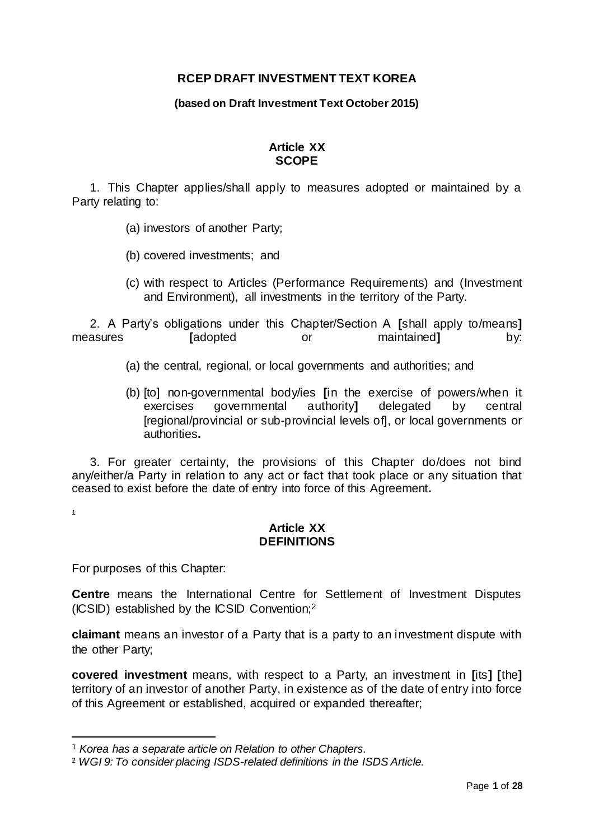# **RCEP DRAFT INVESTMENT TEXT KOREA**

#### **(based on Draft Investment Text October 2015)**

# **Article XX SCOPE**

1. This Chapter applies/shall apply to measures adopted or maintained by a Party relating to:

- (a) investors of another Party;
- (b) covered investments; and
- (c) with respect to Articles (Performance Requirements) and (Investment and Environment), all investments in the territory of the Party.

2. A Party's obligations under this Chapter/Section A **[**shall apply to/means**]** measures **[**adopted or maintained**]** by:

- (a) the central, regional, or local governments and authorities; and
- (b) [to] non-governmental body/ies **[**in the exercise of powers/when it exercises governmental authority**]** delegated by central [regional/provincial or sub-provincial levels of], or local governments or authorities**.**

3. For greater certainty, the provisions of this Chapter do/does not bind any/either/a Party in relation to any act or fact that took place or any situation that ceased to exist before the date of entry into force of this Agreement**.** 

1

l

#### **Article XX DEFINITIONS**

For purposes of this Chapter:

**Centre** means the International Centre for Settlement of Investment Disputes (ICSID) established by the ICSID Convention;<sup>2</sup>

**claimant** means an investor of a Party that is a party to an investment dispute with the other Party;

**covered investment** means, with respect to a Party, an investment in **[**its**] [**the**]** territory of an investor of another Party, in existence as of the date of entry into force of this Agreement or established, acquired or expanded thereafter;

<sup>1</sup> *Korea has a separate article on Relation to other Chapters.*

<sup>2</sup> *WGI 9: To consider placing ISDS-related definitions in the ISDS Article.*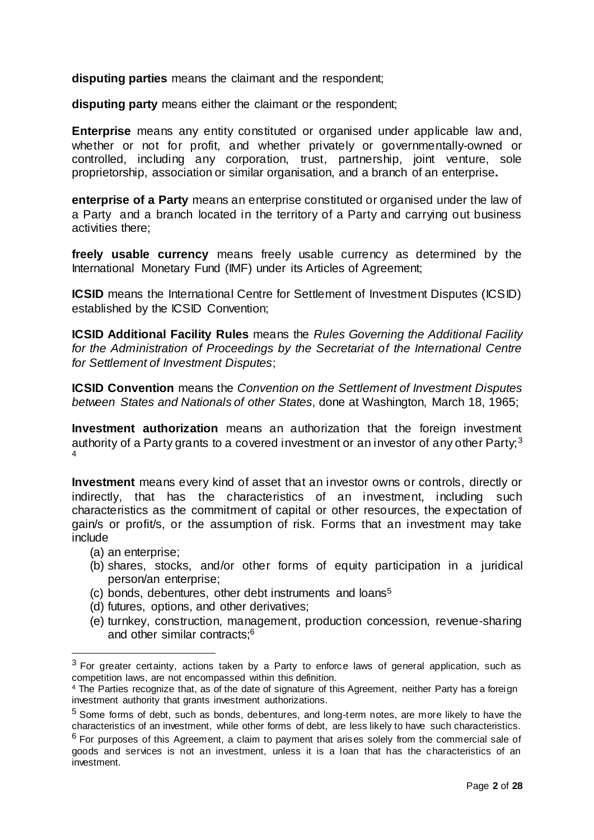**disputing parties** means the claimant and the respondent;

**disputing party** means either the claimant or the respondent;

**Enterprise** means any entity constituted or organised under applicable law and, whether or not for profit, and whether privately or governmentally-owned or controlled, including any corporation, trust, partnership, joint venture, sole proprietorship, association or similar organisation, and a branch of an enterprise**.** 

**enterprise of a Party** means an enterprise constituted or organised under the law of a Party and a branch located in the territory of a Party and carrying out business activities there;

**freely usable currency** means freely usable currency as determined by the International Monetary Fund (IMF) under its Articles of Agreement;

**ICSID** means the International Centre for Settlement of Investment Disputes (ICSID) established by the ICSID Convention;

**ICSID Additional Facility Rules** means the *Rules Governing the Additional Facility for the Administration of Proceedings by the Secretariat of the International Centre for Settlement of Investment Disputes*;

**ICSID Convention** means the *Convention on the Settlement of Investment Disputes between States and Nationals of other States*, done at Washington, March 18, 1965;

**Investment authorization** means an authorization that the foreign investment authority of a Party grants to a covered investment or an investor of any other Party;<sup>3</sup> 4

**Investment** means every kind of asset that an investor owns or controls, directly or indirectly, that has the characteristics of an investment, including such characteristics as the commitment of capital or other resources, the expectation of gain/s or profit/s, or the assumption of risk. Forms that an investment may take include

(a) an enterprise;

 $\overline{a}$ 

- (b) shares, stocks, and/or other forms of equity participation in a juridical person/an enterprise;
- (c) bonds, debentures, other debt instruments and loans<sup>5</sup>
- (d) futures, options, and other derivatives;
- (e) turnkey, construction, management, production concession, revenue-sharing and other similar contracts;<sup>6</sup>

 $3$  For greater certainty, actions taken by a Party to enforce laws of general application, such as competition laws, are not encompassed within this definition.

<sup>4</sup> The Parties recognize that, as of the date of signature of this Agreement, neither Party has a foreign investment authority that grants investment authorizations.

<sup>5</sup> Some forms of debt, such as bonds, debentures, and long-term notes, are more likely to have the characteristics of an investment, while other forms of debt, are less likely to have such characteristics.

 $6$  For purposes of this Agreement, a claim to payment that arises solely from the commercial sale of goods and services is not an investment, unless it is a loan that has the characteristics of an investment.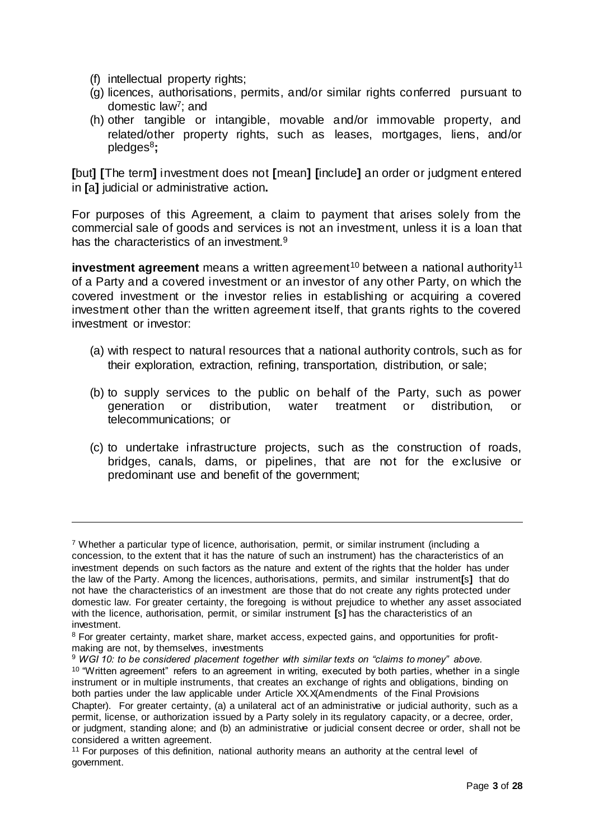(f) intellectual property rights;

 $\overline{a}$ 

- (g) licences, authorisations, permits, and/or similar rights conferred pursuant to domestic law<sup>7</sup> ; and
- (h) other tangible or intangible, movable and/or immovable property, and related/other property rights, such as leases, mortgages, liens, and/or pledges<sup>8</sup> **;**

**[**but**] [**The term**]** investment does not **[**mean**] [**include**]** an order or judgment entered in **[**a**]** judicial or administrative action**.** 

For purposes of this Agreement, a claim to payment that arises solely from the commercial sale of goods and services is not an investment, unless it is a loan that has the characteristics of an investment.<sup>9</sup>

**investment agreement** means a written agreement<sup>10</sup> between a national authority<sup>11</sup> of a Party and a covered investment or an investor of any other Party, on which the covered investment or the investor relies in establishing or acquiring a covered investment other than the written agreement itself, that grants rights to the covered investment or investor:

- (a) with respect to natural resources that a national authority controls, such as for their exploration, extraction, refining, transportation, distribution, or sale;
- (b) to supply services to the public on behalf of the Party, such as power generation or distribution, water treatment or distribution, or telecommunications; or
- (c) to undertake infrastructure projects, such as the construction of roads, bridges, canals, dams, or pipelines, that are not for the exclusive or predominant use and benefit of the government;

<sup>7</sup> Whether a particular type of licence, authorisation, permit, or similar instrument (including a concession, to the extent that it has the nature of such an instrument) has the characteristics of an investment depends on such factors as the nature and extent of the rights that the holder has under the law of the Party. Among the licences, authorisations, permits, and similarinstrument**[**s**]** that do not have the characteristics of an investment are those that do not create any rights protected under domestic law. For greater certainty, the foregoing is without prejudice to whether any asset associated with the licence, authorisation, permit, or similar instrument **[**s**]** has the characteristics of an investment.

<sup>&</sup>lt;sup>8</sup> For greater certainty, market share, market access, expected gains, and opportunities for profitmaking are not, by themselves, investments

<sup>9</sup> *WGI 10: to be considered placement together with similar texts on "claims to money" above.* <sup>10</sup> "Written agreement" refers to an agreement in writing, executed by both parties, whether in a single instrument or in multiple instruments, that creates an exchange of rights and obligations, binding on both parties under the law applicable under Article XX.X(Amendments of the Final Provisions Chapter). For greater certainty, (a) a unilateral act of an administrative or judicial authority, such as a permit, license, or authorization issued by a Party solely in its regulatory capacity, or a decree, order, or judgment, standing alone; and (b) an administrative or judicial consent decree or order, shall not be considered a written agreement.

<sup>11</sup> For purposes of this definition, national authority means an authority at the central level of government.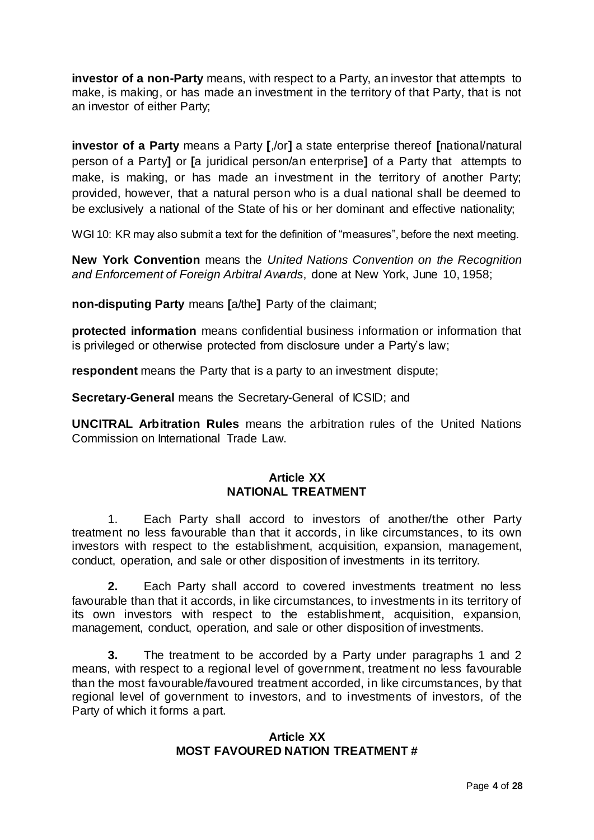**investor of a non-Party** means, with respect to a Party, an investor that attempts to make, is making, or has made an investment in the territory of that Party, that is not an investor of either Party;

**investor of a Party** means a Party **[**,/or**]** a state enterprise thereof **[**national/natural person of a Party**]** or **[**a juridical person/an enterprise**]** of a Party that attempts to make, is making, or has made an investment in the territory of another Party; provided, however, that a natural person who is a dual national shall be deemed to be exclusively a national of the State of his or her dominant and effective nationality;

WGI 10: KR may also submit a text for the definition of "measures", before the next meeting.

**New York Convention** means the *United Nations Convention on the Recognition and Enforcement of Foreign Arbitral Awards*, done at New York, June 10, 1958;

**non-disputing Party** means **[**a/the**]** Party of the claimant;

**protected information** means confidential business information or information that is privileged or otherwise protected from disclosure under a Party's law;

**respondent** means the Party that is a party to an investment dispute;

**Secretary-General** means the Secretary-General of ICSID; and

**UNCITRAL Arbitration Rules** means the arbitration rules of the United Nations Commission on International Trade Law.

# **Article XX NATIONAL TREATMENT**

1. Each Party shall accord to investors of another/the other Party treatment no less favourable than that it accords, in like circumstances, to its own investors with respect to the establishment, acquisition, expansion, management, conduct, operation, and sale or other disposition of investments in its territory.

**2.** Each Party shall accord to covered investments treatment no less favourable than that it accords, in like circumstances, to investments in its territory of its own investors with respect to the establishment, acquisition, expansion, management, conduct, operation, and sale or other disposition of investments.

**3.** The treatment to be accorded by a Party under paragraphs 1 and 2 means, with respect to a regional level of government, treatment no less favourable than the most favourable/favoured treatment accorded, in like circumstances, by that regional level of government to investors, and to investments of investors, of the Party of which it forms a part.

# **Article XX MOST FAVOURED NATION TREATMENT #**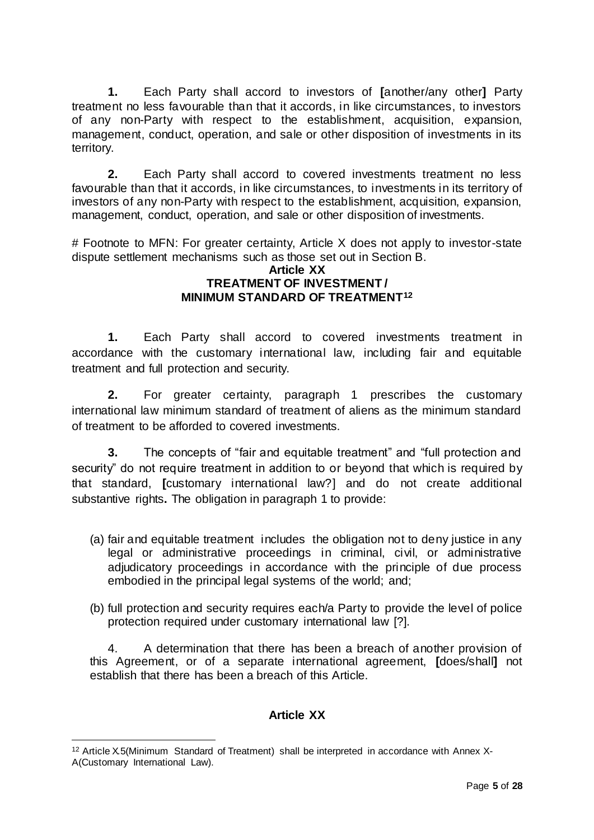**1.** Each Party shall accord to investors of **[**another/any other**]** Party treatment no less favourable than that it accords, in like circumstances, to investors of any non-Party with respect to the establishment, acquisition, expansion, management, conduct, operation, and sale or other disposition of investments in its territory.

**2.** Each Party shall accord to covered investments treatment no less favourable than that it accords, in like circumstances, to investments in its territory of investors of any non-Party with respect to the establishment, acquisition, expansion, management, conduct, operation, and sale or other disposition of investments.

# Footnote to MFN: For greater certainty, Article X does not apply to investor-state dispute settlement mechanisms such as those set out in Section B.

#### **Article XX TREATMENT OF INVESTMENT / MINIMUM STANDARD OF TREATMENT<sup>12</sup>**

**1.** Each Party shall accord to covered investments treatment in accordance with the customary international law, including fair and equitable treatment and full protection and security.

**2.** For greater certainty, paragraph 1 prescribes the customary international law minimum standard of treatment of aliens as the minimum standard of treatment to be afforded to covered investments.

**3.** The concepts of "fair and equitable treatment" and "full protection and security" do not require treatment in addition to or beyond that which is required by that standard, **[**customary international law?] and do not create additional substantive rights**.** The obligation in paragraph 1 to provide:

- (a) fair and equitable treatment includes the obligation not to deny justice in any legal or administrative proceedings in criminal, civil, or administrative adjudicatory proceedings in accordance with the principle of due process embodied in the principal legal systems of the world; and;
- (b) full protection and security requires each/a Party to provide the level of police protection required under customary international law [?].

4. A determination that there has been a breach of another provision of this Agreement, or of a separate international agreement, **[**does/shall**]** not establish that there has been a breach of this Article.

# **Article XX**

l  $12$  Article X.5(Minimum Standard of Treatment) shall be interpreted in accordance with Annex X-A(Customary International Law).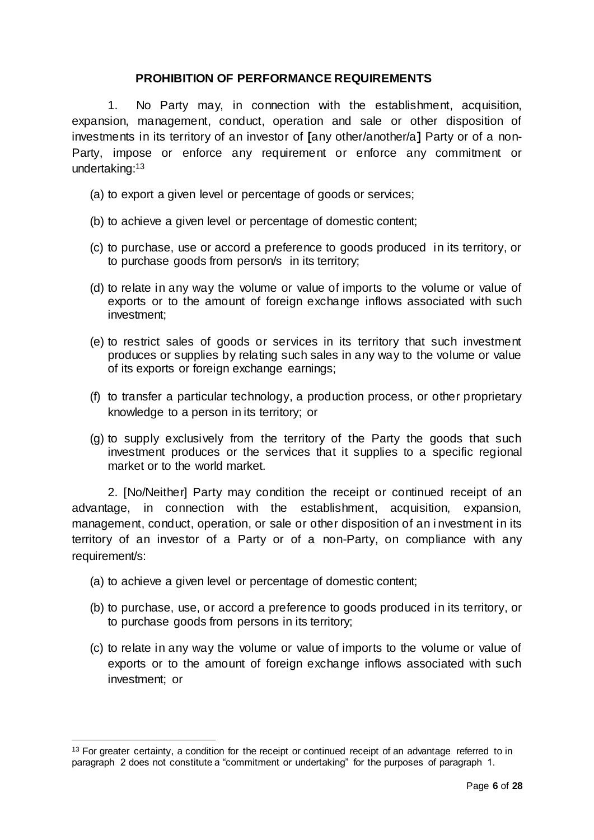# **PROHIBITION OF PERFORMANCE REQUIREMENTS**

1. No Party may, in connection with the establishment, acquisition, expansion, management, conduct, operation and sale or other disposition of investments in its territory of an investor of **[**any other/another/a**]** Party or of a non-Party, impose or enforce any requirement or enforce any commitment or undertaking:<sup>13</sup>

- (a) to export a given level or percentage of goods or services;
- (b) to achieve a given level or percentage of domestic content;
- (c) to purchase, use or accord a preference to goods produced in its territory, or to purchase goods from person/s in its territory;
- (d) to relate in any way the volume or value of imports to the volume or value of exports or to the amount of foreign exchange inflows associated with such investment;
- (e) to restrict sales of goods or services in its territory that such investment produces or supplies by relating such sales in any way to the volume or value of its exports or foreign exchange earnings;
- (f) to transfer a particular technology, a production process, or other proprietary knowledge to a person in its territory; or
- (g) to supply exclusively from the territory of the Party the goods that such investment produces or the services that it supplies to a specific regional market or to the world market.

2. [No/Neither] Party may condition the receipt or continued receipt of an advantage, in connection with the establishment, acquisition, expansion, management, conduct, operation, or sale or other disposition of an i nvestment in its territory of an investor of a Party or of a non-Party, on compliance with any requirement/s:

(a) to achieve a given level or percentage of domestic content;

l

- (b) to purchase, use, or accord a preference to goods produced in its territory, or to purchase goods from persons in its territory;
- (c) to relate in any way the volume or value of imports to the volume or value of exports or to the amount of foreign exchange inflows associated with such investment; or

<sup>&</sup>lt;sup>13</sup> For greater certainty, a condition for the receipt or continued receipt of an advantage referred to in paragraph 2 does not constitute a "commitment or undertaking" for the purposes of paragraph 1.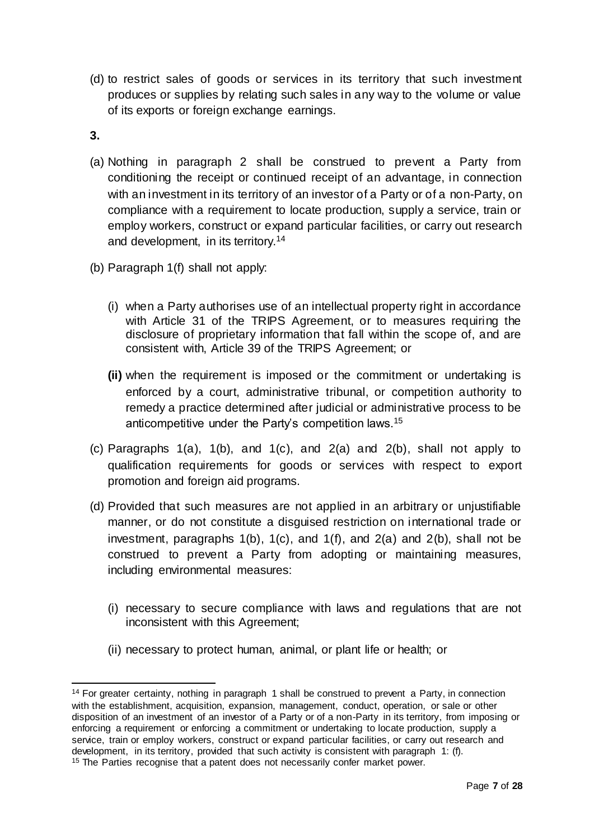- (d) to restrict sales of goods or services in its territory that such investment produces or supplies by relating such sales in any way to the volume or value of its exports or foreign exchange earnings.
- **3.**
- (a) Nothing in paragraph 2 shall be construed to prevent a Party from conditioning the receipt or continued receipt of an advantage, in connection with an investment in its territory of an investor of a Party or of a non-Party, on compliance with a requirement to locate production, supply a service, train or employ workers, construct or expand particular facilities, or carry out research and development, in its territory.<sup>14</sup>
- (b) Paragraph 1(f) shall not apply:
	- (i) when a Party authorises use of an intellectual property right in accordance with Article 31 of the TRIPS Agreement, or to measures requiring the disclosure of proprietary information that fall within the scope of, and are consistent with, Article 39 of the TRIPS Agreement; or
	- **(ii)** when the requirement is imposed or the commitment or undertaking is enforced by a court, administrative tribunal, or competition authority to remedy a practice determined after judicial or administrative process to be anticompetitive under the Party's competition laws.<sup>15</sup>
- (c) Paragraphs 1(a), 1(b), and 1(c), and 2(a) and 2(b), shall not apply to qualification requirements for goods or services with respect to export promotion and foreign aid programs.
- (d) Provided that such measures are not applied in an arbitrary or unjustifiable manner, or do not constitute a disguised restriction on international trade or investment, paragraphs 1(b), 1(c), and 1(f), and 2(a) and 2(b), shall not be construed to prevent a Party from adopting or maintaining measures, including environmental measures:
	- (i) necessary to secure compliance with laws and regulations that are not inconsistent with this Agreement;
	- (ii) necessary to protect human, animal, or plant life or health; or

l <sup>14</sup> For greater certainty, nothing in paragraph 1 shall be construed to prevent a Party, in connection with the establishment, acquisition, expansion, management, conduct, operation, or sale or other disposition of an investment of an investor of a Party or of a non-Party in its territory, from imposing or enforcing a requirement or enforcing a commitment or undertaking to locate production, supply a service, train or employ workers, construct or expand particular facilities, or carry out research and development, in its territory, provided that such activity is consistent with paragraph 1: (f). <sup>15</sup> The Parties recognise that a patent does not necessarily confer market power.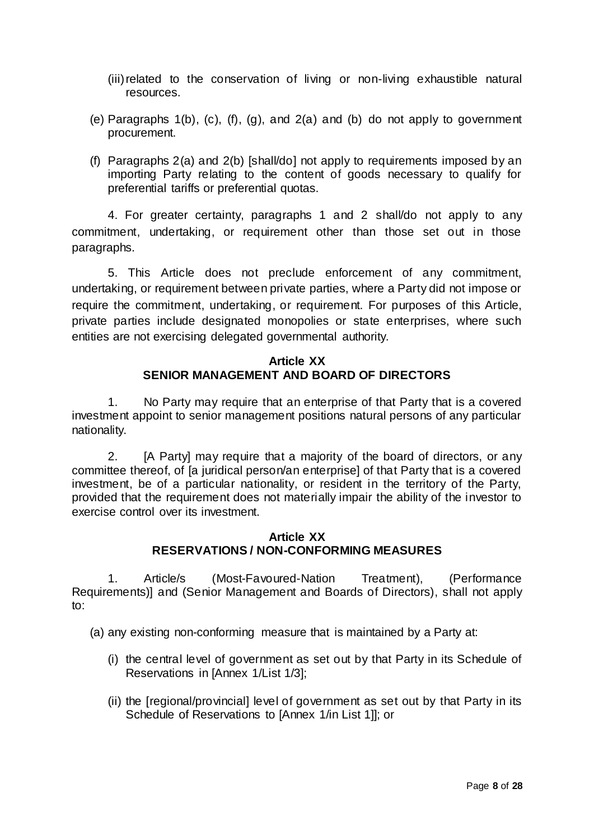- (iii)related to the conservation of living or non-living exhaustible natural resources.
- (e) Paragraphs 1(b), (c), (f), (g), and 2(a) and (b) do not apply to government procurement.
- (f) Paragraphs 2(a) and 2(b) [shall/do] not apply to requirements imposed by an importing Party relating to the content of goods necessary to qualify for preferential tariffs or preferential quotas.

4. For greater certainty, paragraphs 1 and 2 shall/do not apply to any commitment, undertaking, or requirement other than those set out in those paragraphs.

5. This Article does not preclude enforcement of any commitment, undertaking, or requirement between private parties, where a Party did not impose or require the commitment, undertaking, or requirement. For purposes of this Article, private parties include designated monopolies or state enterprises, where such entities are not exercising delegated governmental authority.

# **Article XX SENIOR MANAGEMENT AND BOARD OF DIRECTORS**

1. No Party may require that an enterprise of that Party that is a covered investment appoint to senior management positions natural persons of any particular nationality.

2. [A Party] may require that a majority of the board of directors, or any committee thereof, of [a juridical person/an enterprise] of that Party that is a covered investment, be of a particular nationality, or resident in the territory of the Party, provided that the requirement does not materially impair the ability of the investor to exercise control over its investment.

#### **Article XX RESERVATIONS / NON-CONFORMING MEASURES**

1. Article/s (Most-Favoured-Nation Treatment), (Performance Requirements)] and (Senior Management and Boards of Directors), shall not apply to:

(a) any existing non-conforming measure that is maintained by a Party at:

- (i) the central level of government as set out by that Party in its Schedule of Reservations in [Annex 1/List 1/3];
- (ii) the [regional/provincial] level of government as set out by that Party in its Schedule of Reservations to [Annex 1/in List 1]]; or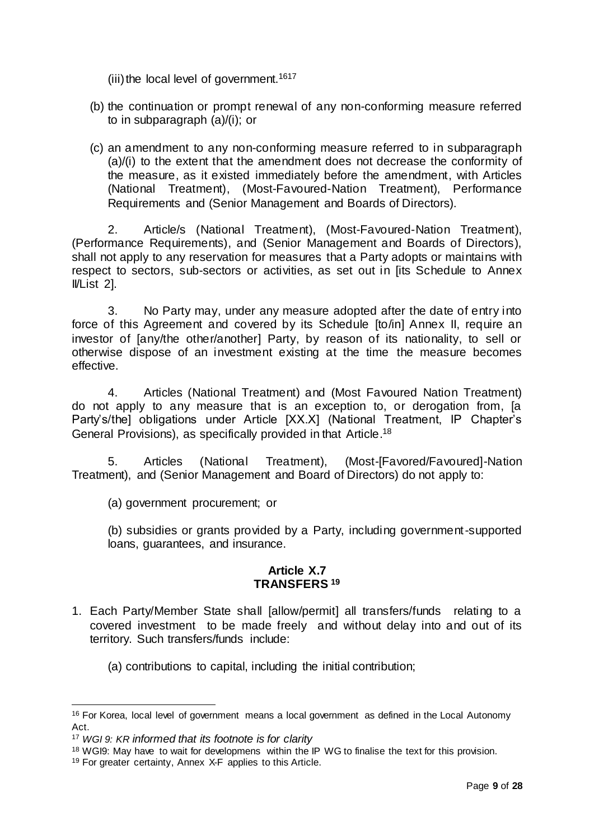(iii) the local level of government.<sup>1617</sup>

- (b) the continuation or prompt renewal of any non-conforming measure referred to in subparagraph (a)/(i); or
- (c) an amendment to any non-conforming measure referred to in subparagraph (a)/(i) to the extent that the amendment does not decrease the conformity of the measure, as it existed immediately before the amendment, with Articles (National Treatment), (Most-Favoured-Nation Treatment), Performance Requirements and (Senior Management and Boards of Directors).

2. Article/s (National Treatment), (Most-Favoured-Nation Treatment), (Performance Requirements), and (Senior Management and Boards of Directors), shall not apply to any reservation for measures that a Party adopts or maintains with respect to sectors, sub-sectors or activities, as set out in [its Schedule to Annex II/List 2].

3. No Party may, under any measure adopted after the date of entry into force of this Agreement and covered by its Schedule [to/in] Annex II, require an investor of [any/the other/another] Party, by reason of its nationality, to sell or otherwise dispose of an investment existing at the time the measure becomes effective.

4. Articles (National Treatment) and (Most Favoured Nation Treatment) do not apply to any measure that is an exception to, or derogation from, [a Party's/the] obligations under Article [XX.X] (National Treatment, IP Chapter's General Provisions), as specifically provided in that Article.<sup>18</sup>

5. Articles (National Treatment), (Most-[Favored/Favoured]-Nation Treatment), and (Senior Management and Board of Directors) do not apply to:

(a) government procurement; or

(b) subsidies or grants provided by a Party, including government-supported loans, guarantees, and insurance.

#### **Article X.7 TRANSFERS <sup>19</sup>**

1. Each Party/Member State shall [allow/permit] all transfers/funds relating to a covered investment to be made freely and without delay into and out of its territory. Such transfers/funds include:

(a) contributions to capital, including the initial contribution;

l <sup>16</sup> For Korea, local level of government means a local government as defined in the Local Autonomy Act.

<sup>17</sup> *WGI 9: KR informed that its footnote is for clarity*

<sup>&</sup>lt;sup>18</sup> WGI9: May have to wait for developmens within the IP WG to finalise the text for this provision.

<sup>&</sup>lt;sup>19</sup> For greater certainty, Annex X-F applies to this Article.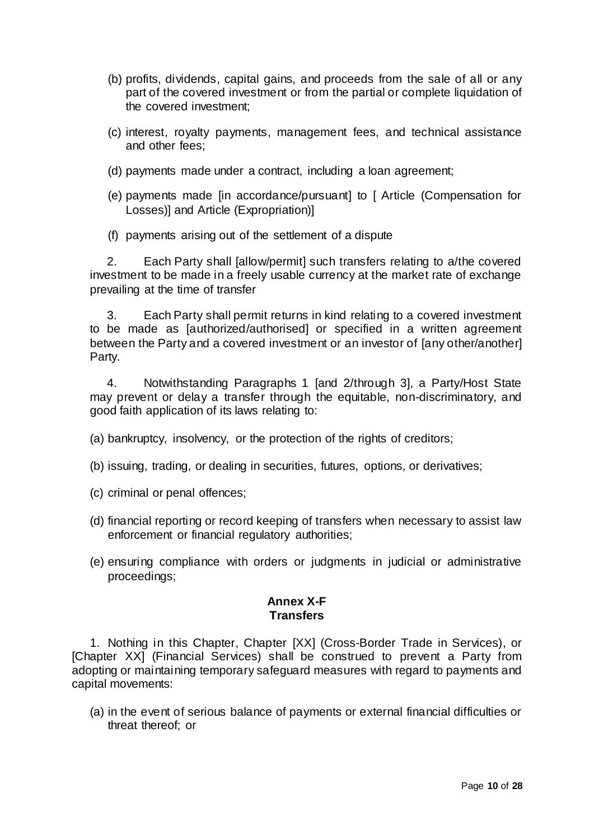- (b) profits, dividends, capital gains, and proceeds from the sale of all or any part of the covered investment or from the partial or complete liquidation of the covered investment;
- (c) interest, royalty payments, management fees, and technical assistance and other fees;
- (d) payments made under a contract, including a loan agreement;
- (e) payments made [in accordance/pursuant] to [ Article (Compensation for Losses)] and Article (Expropriation)]
- (f) payments arising out of the settlement of a dispute

2. Each Party shall [allow/permit] such transfers relating to a/the covered investment to be made in a freely usable currency at the market rate of exchange prevailing at the time of transfer

3. Each Party shall permit returns in kind relating to a covered investment to be made as [authorized/authorised] or specified in a written agreement between the Party and a covered investment or an investor of [any other/another] Party.

4. Notwithstanding Paragraphs 1 [and 2/through 3], a Party/Host State may prevent or delay a transfer through the equitable, non-discriminatory, and good faith application of its laws relating to:

- (a) bankruptcy, insolvency, or the protection of the rights of creditors;
- (b) issuing, trading, or dealing in securities, futures, options, or derivatives;
- (c) criminal or penal offences;
- (d) financial reporting or record keeping of transfers when necessary to assist law enforcement or financial regulatory authorities;
- (e) ensuring compliance with orders or judgments in judicial or administrative proceedings;

# **Annex X-F Transfers**

1. Nothing in this Chapter, Chapter [XX] (Cross-Border Trade in Services), or [Chapter XX] (Financial Services) shall be construed to prevent a Party from adopting or maintaining temporary safeguard measures with regard to payments and capital movements:

(a) in the event of serious balance of payments or external financial difficulties or threat thereof; or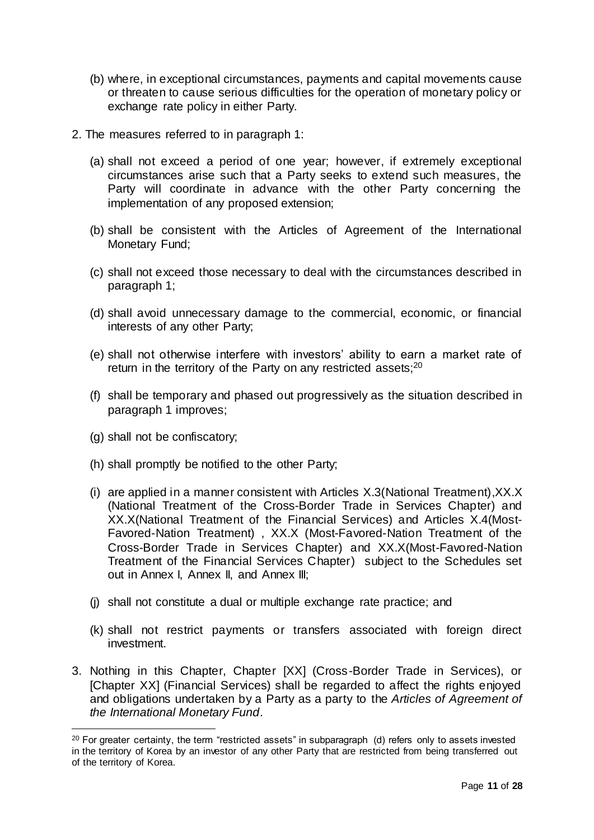- (b) where, in exceptional circumstances, payments and capital movements cause or threaten to cause serious difficulties for the operation of monetary policy or exchange rate policy in either Party.
- 2. The measures referred to in paragraph 1:
	- (a) shall not exceed a period of one year; however, if extremely exceptional circumstances arise such that a Party seeks to extend such measures, the Party will coordinate in advance with the other Party concerning the implementation of any proposed extension;
	- (b) shall be consistent with the Articles of Agreement of the International Monetary Fund;
	- (c) shall not exceed those necessary to deal with the circumstances described in paragraph 1;
	- (d) shall avoid unnecessary damage to the commercial, economic, or financial interests of any other Party;
	- (e) shall not otherwise interfere with investors' ability to earn a market rate of return in the territory of the Party on any restricted assets;<sup>20</sup>
	- (f) shall be temporary and phased out progressively as the situation described in paragraph 1 improves;
	- (g) shall not be confiscatory;

 $\overline{a}$ 

- (h) shall promptly be notified to the other Party;
- (i) are applied in a manner consistent with Articles X.3(National Treatment),XX.X (National Treatment of the Cross-Border Trade in Services Chapter) and XX.X(National Treatment of the Financial Services) and Articles X.4(Most-Favored-Nation Treatment) , XX.X (Most-Favored-Nation Treatment of the Cross-Border Trade in Services Chapter) and XX.X(Most-Favored-Nation Treatment of the Financial Services Chapter) subject to the Schedules set out in Annex I, Annex II, and Annex III;
- (j) shall not constitute a dual or multiple exchange rate practice; and
- (k) shall not restrict payments or transfers associated with foreign direct investment.
- 3. Nothing in this Chapter, Chapter [XX] (Cross-Border Trade in Services), or [Chapter XX] (Financial Services) shall be regarded to affect the rights enjoyed and obligations undertaken by a Party as a party to the *Articles of Agreement of the International Monetary Fund*.

<sup>&</sup>lt;sup>20</sup> For greater certainty, the term "restricted assets" in subparagraph (d) refers only to assets invested in the territory of Korea by an investor of any other Party that are restricted from being transferred out of the territory of Korea.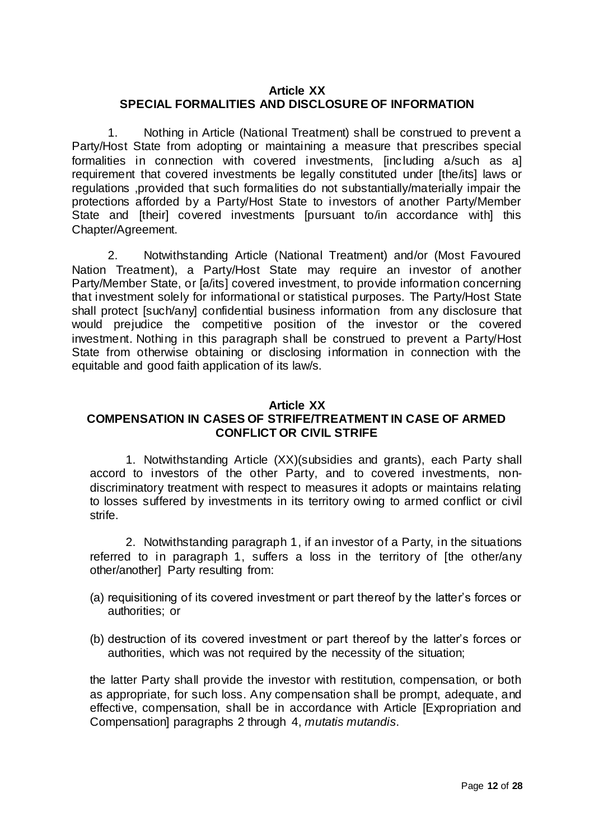### **Article XX SPECIAL FORMALITIES AND DISCLOSURE OF INFORMATION**

1. Nothing in Article (National Treatment) shall be construed to prevent a Party/Host State from adopting or maintaining a measure that prescribes special formalities in connection with covered investments, [including a/such as a] requirement that covered investments be legally constituted under [the/its] laws or regulations ,provided that such formalities do not substantially/materially impair the protections afforded by a Party/Host State to investors of another Party/Member State and [their] covered investments [pursuant to/in accordance with] this Chapter/Agreement.

2. Notwithstanding Article (National Treatment) and/or (Most Favoured Nation Treatment), a Party/Host State may require an investor of another Party/Member State, or [a/its] covered investment, to provide information concerning that investment solely for informational or statistical purposes. The Party/Host State shall protect [such/any] confidential business information from any disclosure that would prejudice the competitive position of the investor or the covered investment. Nothing in this paragraph shall be construed to prevent a Party/Host State from otherwise obtaining or disclosing information in connection with the equitable and good faith application of its law/s.

#### **Article XX**

# **COMPENSATION IN CASES OF STRIFE/TREATMENT IN CASE OF ARMED CONFLICT OR CIVIL STRIFE**

1. Notwithstanding Article (XX)(subsidies and grants), each Party shall accord to investors of the other Party, and to covered investments, nondiscriminatory treatment with respect to measures it adopts or maintains relating to losses suffered by investments in its territory owing to armed conflict or civil strife.

2. Notwithstanding paragraph 1, if an investor of a Party, in the situations referred to in paragraph 1, suffers a loss in the territory of [the other/any other/another] Party resulting from:

- (a) requisitioning of its covered investment or part thereof by the latter's forces or authorities; or
- (b) destruction of its covered investment or part thereof by the latter's forces or authorities, which was not required by the necessity of the situation;

the latter Party shall provide the investor with restitution, compensation, or both as appropriate, for such loss. Any compensation shall be prompt, adequate, and effective, compensation, shall be in accordance with Article [Expropriation and Compensation] paragraphs 2 through 4, *mutatis mutandis*.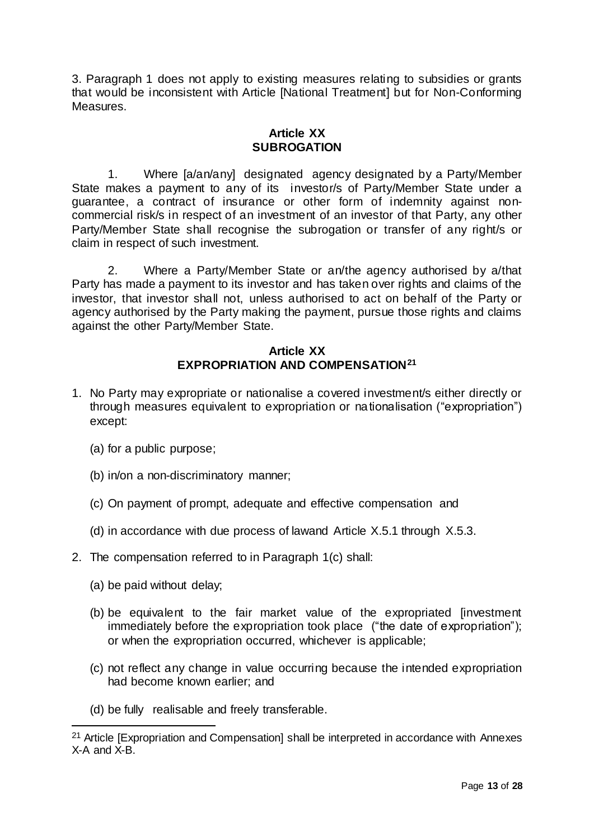3. Paragraph 1 does not apply to existing measures relating to subsidies or grants that would be inconsistent with Article [National Treatment] but for Non-Conforming Measures.

#### **Article XX SUBROGATION**

1. Where [a/an/any] designated agency designated by a Party/Member State makes a payment to any of its investor/s of Party/Member State under a guarantee, a contract of insurance or other form of indemnity against noncommercial risk/s in respect of an investment of an investor of that Party, any other Party/Member State shall recognise the subrogation or transfer of any right/s or claim in respect of such investment.

2. Where a Party/Member State or an/the agency authorised by a/that Party has made a payment to its investor and has taken over rights and claims of the investor, that investor shall not, unless authorised to act on behalf of the Party or agency authorised by the Party making the payment, pursue those rights and claims against the other Party/Member State.

### **Article XX EXPROPRIATION AND COMPENSATION<sup>21</sup>**

- 1. No Party may expropriate or nationalise a covered investment/s either directly or through measures equivalent to expropriation or nationalisation ("expropriation") except:
	- (a) for a public purpose;
	- (b) in/on a non-discriminatory manner;
	- (c) On payment of prompt, adequate and effective compensation and
	- (d) in accordance with due process of lawand Article X.5.1 through X.5.3.
- 2. The compensation referred to in Paragraph 1(c) shall:
	- (a) be paid without delay;

l

- (b) be equivalent to the fair market value of the expropriated [investment immediately before the expropriation took place ("the date of expropriation"); or when the expropriation occurred, whichever is applicable;
- (c) not reflect any change in value occurring because the intended expropriation had become known earlier; and
- (d) be fully realisable and freely transferable.

<sup>&</sup>lt;sup>21</sup> Article [Expropriation and Compensation] shall be interpreted in accordance with Annexes X-A and X-B.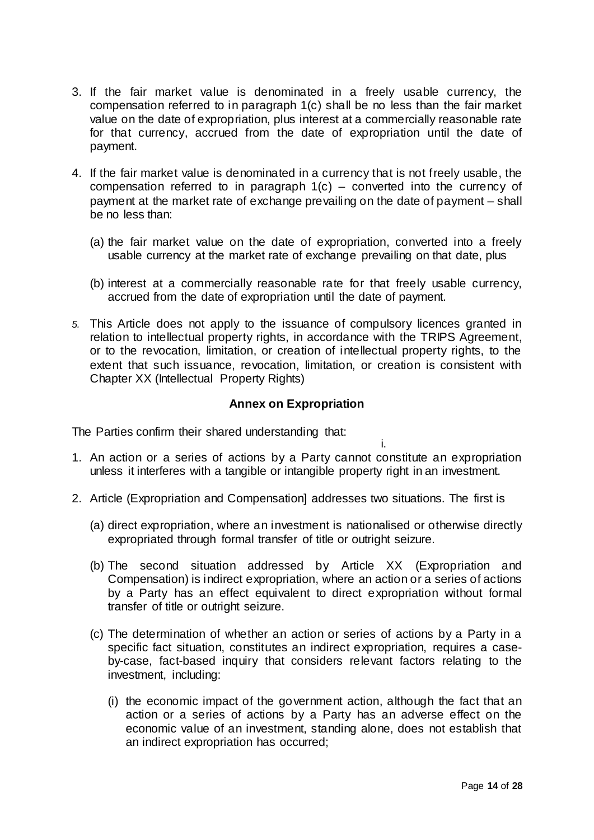- 3. If the fair market value is denominated in a freely usable currency, the compensation referred to in paragraph 1(c) shall be no less than the fair market value on the date of expropriation, plus interest at a commercially reasonable rate for that currency, accrued from the date of expropriation until the date of payment.
- 4. If the fair market value is denominated in a currency that is not freely usable, the compensation referred to in paragraph  $1(c)$  – converted into the currency of payment at the market rate of exchange prevailing on the date of payment – shall be no less than:
	- (a) the fair market value on the date of expropriation, converted into a freely usable currency at the market rate of exchange prevailing on that date, plus
	- (b) interest at a commercially reasonable rate for that freely usable currency, accrued from the date of expropriation until the date of payment.
- *5.* This Article does not apply to the issuance of compulsory licences granted in relation to intellectual property rights, in accordance with the TRIPS Agreement, or to the revocation, limitation, or creation of intellectual property rights, to the extent that such issuance, revocation, limitation, or creation is consistent with Chapter XX (Intellectual Property Rights)

# **Annex on Expropriation**

The Parties confirm their shared understanding that:

i. 1. An action or a series of actions by a Party cannot constitute an expropriation unless it interferes with a tangible or intangible property right in an investment.

- 2. Article (Expropriation and Compensation] addresses two situations. The first is
	- (a) direct expropriation, where an investment is nationalised or otherwise directly expropriated through formal transfer of title or outright seizure.
	- (b) The second situation addressed by Article XX (Expropriation and Compensation) is indirect expropriation, where an action or a series of actions by a Party has an effect equivalent to direct expropriation without formal transfer of title or outright seizure.
	- (c) The determination of whether an action or series of actions by a Party in a specific fact situation, constitutes an indirect expropriation, requires a caseby-case, fact-based inquiry that considers relevant factors relating to the investment, including:
		- (i) the economic impact of the government action, although the fact that an action or a series of actions by a Party has an adverse effect on the economic value of an investment, standing alone, does not establish that an indirect expropriation has occurred;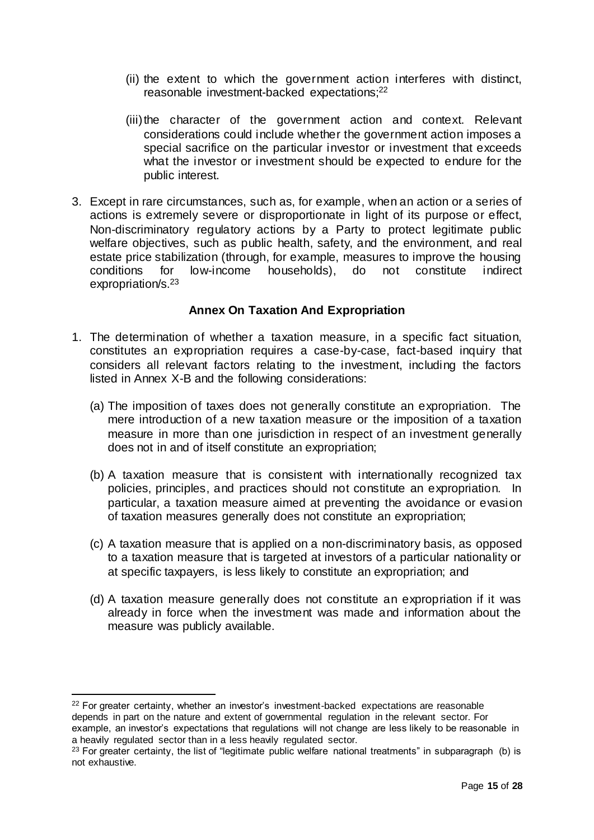- (ii) the extent to which the government action interferes with distinct, reasonable investment-backed expectations;<sup>22</sup>
- (iii)the character of the government action and context. Relevant considerations could include whether the government action imposes a special sacrifice on the particular investor or investment that exceeds what the investor or investment should be expected to endure for the public interest.
- 3. Except in rare circumstances, such as, for example, when an action or a series of actions is extremely severe or disproportionate in light of its purpose or effect, Non-discriminatory regulatory actions by a Party to protect legitimate public welfare objectives, such as public health, safety, and the environment, and real estate price stabilization (through, for example, measures to improve the housing conditions for low-income households), do not constitute indirect expropriation/s.<sup>23</sup>

# **Annex On Taxation And Expropriation**

- 1. The determination of whether a taxation measure, in a specific fact situation, constitutes an expropriation requires a case-by-case, fact-based inquiry that considers all relevant factors relating to the investment, including the factors listed in Annex X-B and the following considerations:
	- (a) The imposition of taxes does not generally constitute an expropriation. The mere introduction of a new taxation measure or the imposition of a taxation measure in more than one jurisdiction in respect of an investment generally does not in and of itself constitute an expropriation;
	- (b) A taxation measure that is consistent with internationally recognized tax policies, principles, and practices should not constitute an expropriation. In particular, a taxation measure aimed at preventing the avoidance or evasion of taxation measures generally does not constitute an expropriation;
	- (c) A taxation measure that is applied on a non-discriminatory basis, as opposed to a taxation measure that is targeted at investors of a particular nationality or at specific taxpayers, is less likely to constitute an expropriation; and
	- (d) A taxation measure generally does not constitute an expropriation if it was already in force when the investment was made and information about the measure was publicly available.

l <sup>22</sup> For greater certainty, whether an investor's investment-backed expectations are reasonable depends in part on the nature and extent of governmental regulation in the relevant sector. For example, an investor's expectations that regulations will not change are less likely to be reasonable in a heavily regulated sector than in a less heavily regulated sector.

<sup>&</sup>lt;sup>23</sup> For greater certainty, the list of "legitimate public welfare national treatments" in subparagraph (b) is not exhaustive.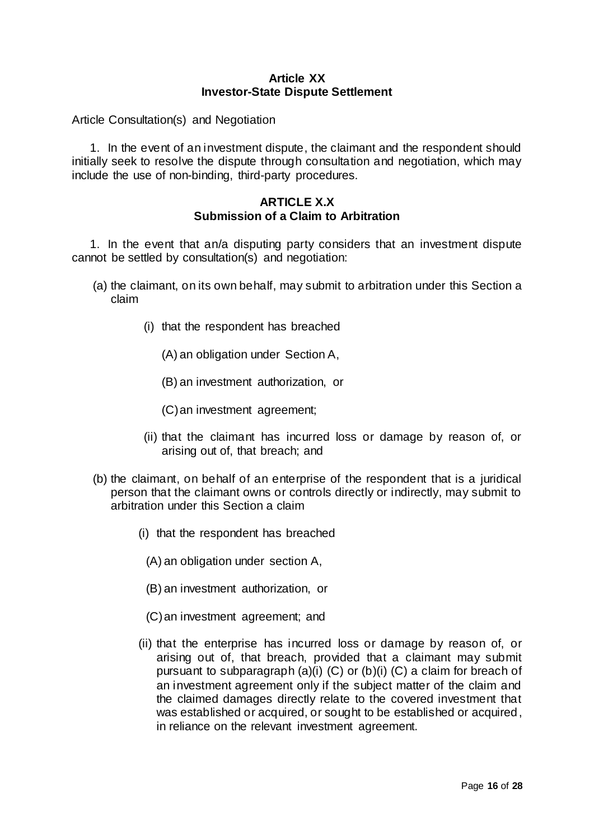#### **Article XX Investor-State Dispute Settlement**

Article Consultation(s) and Negotiation

1. In the event of an investment dispute, the claimant and the respondent should initially seek to resolve the dispute through consultation and negotiation, which may include the use of non-binding, third-party procedures.

#### **ARTICLE X.X Submission of a Claim to Arbitration**

1. In the event that an/a disputing party considers that an investment dispute cannot be settled by consultation(s) and negotiation:

- (a) the claimant, on its own behalf, may submit to arbitration under this Section a claim
	- (i) that the respondent has breached
		- (A) an obligation under Section A,
		- (B) an investment authorization, or
		- (C)an investment agreement;
	- (ii) that the claimant has incurred loss or damage by reason of, or arising out of, that breach; and
- (b) the claimant, on behalf of an enterprise of the respondent that is a juridical person that the claimant owns or controls directly or indirectly, may submit to arbitration under this Section a claim
	- (i) that the respondent has breached
		- (A) an obligation under section A,
		- (B) an investment authorization, or
		- (C)an investment agreement; and
	- (ii) that the enterprise has incurred loss or damage by reason of, or arising out of, that breach, provided that a claimant may submit pursuant to subparagraph (a)(i) (C) or (b)(i) (C) a claim for breach of an investment agreement only if the subject matter of the claim and the claimed damages directly relate to the covered investment that was established or acquired, or sought to be established or acquired, in reliance on the relevant investment agreement.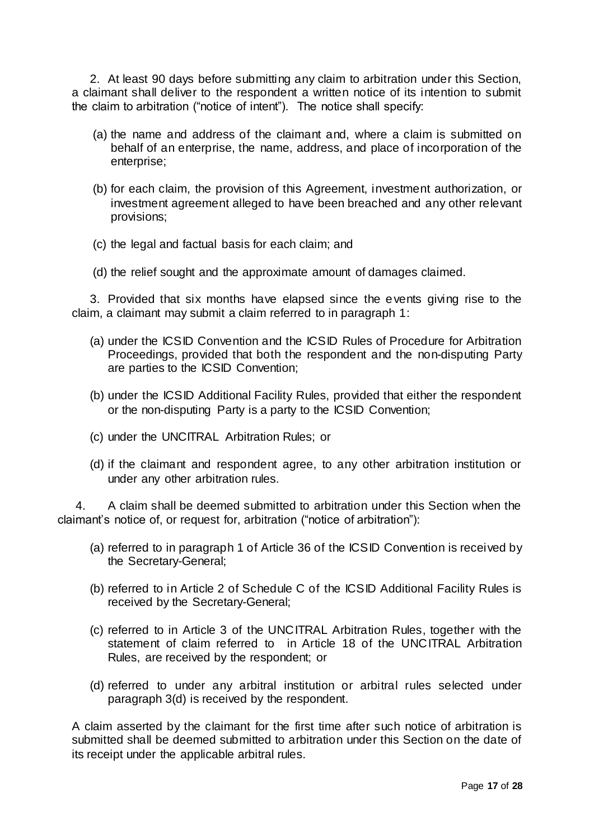2. At least 90 days before submitting any claim to arbitration under this Section, a claimant shall deliver to the respondent a written notice of its intention to submit the claim to arbitration ("notice of intent"). The notice shall specify:

- (a) the name and address of the claimant and, where a claim is submitted on behalf of an enterprise, the name, address, and place of incorporation of the enterprise;
- (b) for each claim, the provision of this Agreement, investment authorization, or investment agreement alleged to have been breached and any other relevant provisions;
- (c) the legal and factual basis for each claim; and
- (d) the relief sought and the approximate amount of damages claimed.

3. Provided that six months have elapsed since the events giving rise to the claim, a claimant may submit a claim referred to in paragraph 1:

- (a) under the ICSID Convention and the ICSID Rules of Procedure for Arbitration Proceedings, provided that both the respondent and the non-disputing Party are parties to the ICSID Convention;
- (b) under the ICSID Additional Facility Rules, provided that either the respondent or the non-disputing Party is a party to the ICSID Convention;
- (c) under the UNCITRAL Arbitration Rules; or
- (d) if the claimant and respondent agree, to any other arbitration institution or under any other arbitration rules.

4. A claim shall be deemed submitted to arbitration under this Section when the claimant's notice of, or request for, arbitration ("notice of arbitration"):

- (a) referred to in paragraph 1 of Article 36 of the ICSID Convention is received by the Secretary-General;
- (b) referred to in Article 2 of Schedule C of the ICSID Additional Facility Rules is received by the Secretary-General;
- (c) referred to in Article 3 of the UNCITRAL Arbitration Rules, together with the statement of claim referred to in Article 18 of the UNCITRAL Arbitration Rules, are received by the respondent; or
- (d) referred to under any arbitral institution or arbitral rules selected under paragraph 3(d) is received by the respondent.

A claim asserted by the claimant for the first time after such notice of arbitration is submitted shall be deemed submitted to arbitration under this Section on the date of its receipt under the applicable arbitral rules.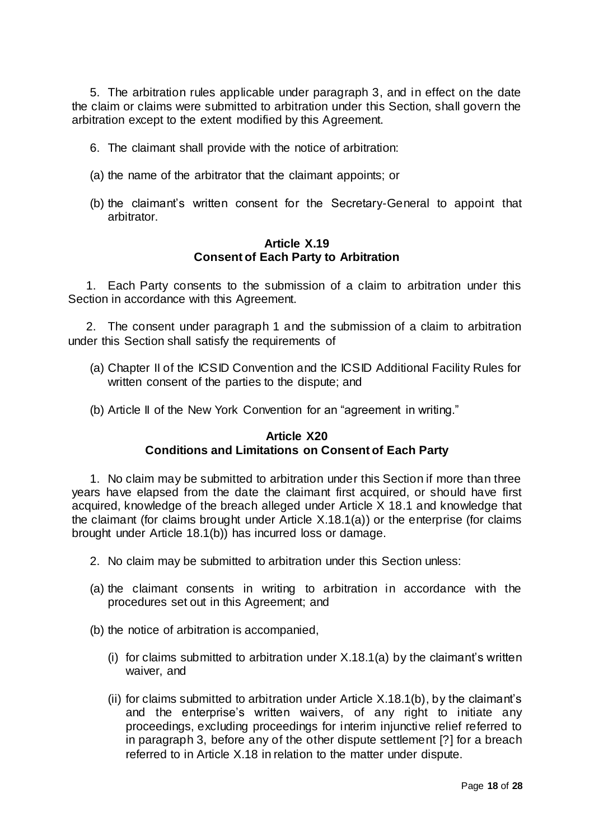5. The arbitration rules applicable under paragraph 3, and in effect on the date the claim or claims were submitted to arbitration under this Section, shall govern the arbitration except to the extent modified by this Agreement.

- 6. The claimant shall provide with the notice of arbitration:
- (a) the name of the arbitrator that the claimant appoints; or
- (b) the claimant's written consent for the Secretary-General to appoint that arbitrator.

#### **Article X.19 Consent of Each Party to Arbitration**

1. Each Party consents to the submission of a claim to arbitration under this Section in accordance with this Agreement.

2. The consent under paragraph 1 and the submission of a claim to arbitration under this Section shall satisfy the requirements of

- (a) Chapter II of the ICSID Convention and the ICSID Additional Facility Rules for written consent of the parties to the dispute; and
- (b) Article II of the New York Convention for an "agreement in writing."

# **Article X20 Conditions and Limitations on Consent of Each Party**

1. No claim may be submitted to arbitration under this Section if more than three years have elapsed from the date the claimant first acquired, or should have first acquired, knowledge of the breach alleged under Article X 18.1 and knowledge that the claimant (for claims brought under Article X.18.1(a)) or the enterprise (for claims brought under Article 18.1(b)) has incurred loss or damage.

- 2. No claim may be submitted to arbitration under this Section unless:
- (a) the claimant consents in writing to arbitration in accordance with the procedures set out in this Agreement; and
- (b) the notice of arbitration is accompanied,
	- (i) for claims submitted to arbitration under X.18.1(a) by the claimant's written waiver, and
	- (ii) for claims submitted to arbitration under Article X.18.1(b), by the claimant's and the enterprise's written waivers, of any right to initiate any proceedings, excluding proceedings for interim injunctive relief referred to in paragraph 3, before any of the other dispute settlement [?] for a breach referred to in Article X.18 in relation to the matter under dispute.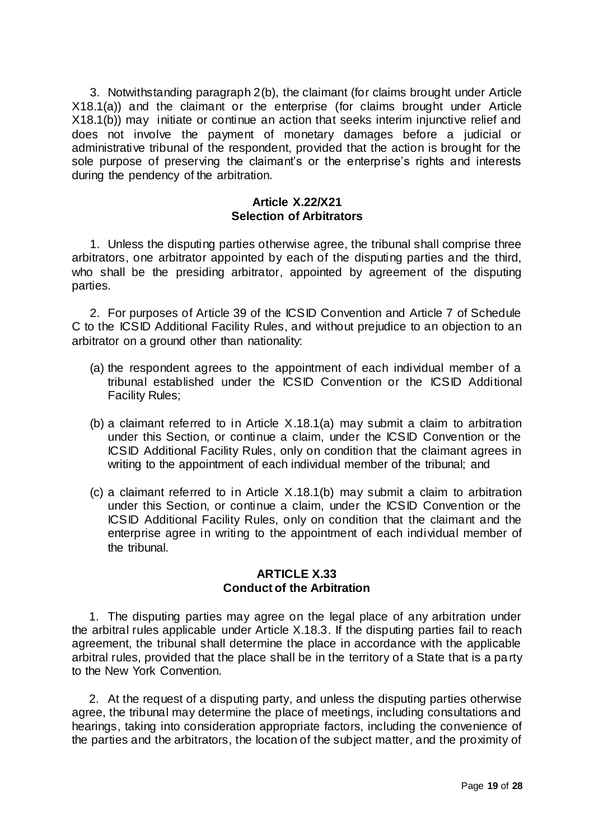3. Notwithstanding paragraph 2(b), the claimant (for claims brought under Article X18.1(a)) and the claimant or the enterprise (for claims brought under Article X18.1(b)) may initiate or continue an action that seeks interim injunctive relief and does not involve the payment of monetary damages before a judicial or administrative tribunal of the respondent, provided that the action is brought for the sole purpose of preserving the claimant's or the enterprise's rights and interests during the pendency of the arbitration.

#### **Article X.22/X21 Selection of Arbitrators**

1. Unless the disputing parties otherwise agree, the tribunal shall comprise three arbitrators, one arbitrator appointed by each of the disputing parties and the third, who shall be the presiding arbitrator, appointed by agreement of the disputing parties.

2. For purposes of Article 39 of the ICSID Convention and Article 7 of Schedule C to the ICSID Additional Facility Rules, and without prejudice to an objection to an arbitrator on a ground other than nationality:

- (a) the respondent agrees to the appointment of each individual member of a tribunal established under the ICSID Convention or the ICSID Additional Facility Rules;
- (b) a claimant referred to in Article X.18.1(a) may submit a claim to arbitration under this Section, or continue a claim, under the ICSID Convention or the ICSID Additional Facility Rules, only on condition that the claimant agrees in writing to the appointment of each individual member of the tribunal; and
- (c) a claimant referred to in Article X.18.1(b) may submit a claim to arbitration under this Section, or continue a claim, under the ICSID Convention or the ICSID Additional Facility Rules, only on condition that the claimant and the enterprise agree in writing to the appointment of each individual member of the tribunal.

# **ARTICLE X.33 Conduct of the Arbitration**

1. The disputing parties may agree on the legal place of any arbitration under the arbitral rules applicable under Article X.18.3. If the disputing parties fail to reach agreement, the tribunal shall determine the place in accordance with the applicable arbitral rules, provided that the place shall be in the territory of a State that is a pa rty to the New York Convention.

2. At the request of a disputing party, and unless the disputing parties otherwise agree, the tribunal may determine the place of meetings, including consultations and hearings, taking into consideration appropriate factors, including the convenience of the parties and the arbitrators, the location of the subject matter, and the proximity of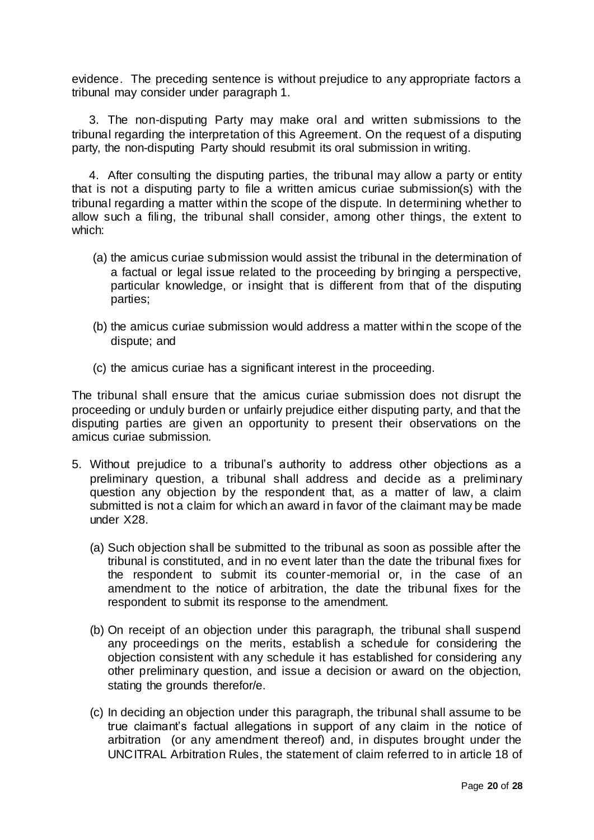evidence. The preceding sentence is without prejudice to any appropriate factors a tribunal may consider under paragraph 1.

3. The non-disputing Party may make oral and written submissions to the tribunal regarding the interpretation of this Agreement. On the request of a disputing party, the non-disputing Party should resubmit its oral submission in writing.

4. After consulting the disputing parties, the tribunal may allow a party or entity that is not a disputing party to file a written amicus curiae submission(s) with the tribunal regarding a matter within the scope of the dispute. In determining whether to allow such a filing, the tribunal shall consider, among other things, the extent to which:

- (a) the amicus curiae submission would assist the tribunal in the determination of a factual or legal issue related to the proceeding by bringing a perspective, particular knowledge, or insight that is different from that of the disputing parties;
- (b) the amicus curiae submission would address a matter within the scope of the dispute; and
- (c) the amicus curiae has a significant interest in the proceeding.

The tribunal shall ensure that the amicus curiae submission does not disrupt the proceeding or unduly burden or unfairly prejudice either disputing party, and that the disputing parties are given an opportunity to present their observations on the amicus curiae submission.

- 5. Without prejudice to a tribunal's authority to address other objections as a preliminary question, a tribunal shall address and decide as a preliminary question any objection by the respondent that, as a matter of law, a claim submitted is not a claim for which an award in favor of the claimant may be made under X28.
	- (a) Such objection shall be submitted to the tribunal as soon as possible after the tribunal is constituted, and in no event later than the date the tribunal fixes for the respondent to submit its counter-memorial or, in the case of an amendment to the notice of arbitration, the date the tribunal fixes for the respondent to submit its response to the amendment.
	- (b) On receipt of an objection under this paragraph, the tribunal shall suspend any proceedings on the merits, establish a schedule for considering the objection consistent with any schedule it has established for considering any other preliminary question, and issue a decision or award on the objection, stating the grounds therefor/e.
	- (c) In deciding an objection under this paragraph, the tribunal shall assume to be true claimant's factual allegations in support of any claim in the notice of arbitration (or any amendment thereof) and, in disputes brought under the UNCITRAL Arbitration Rules, the statement of claim referred to in article 18 of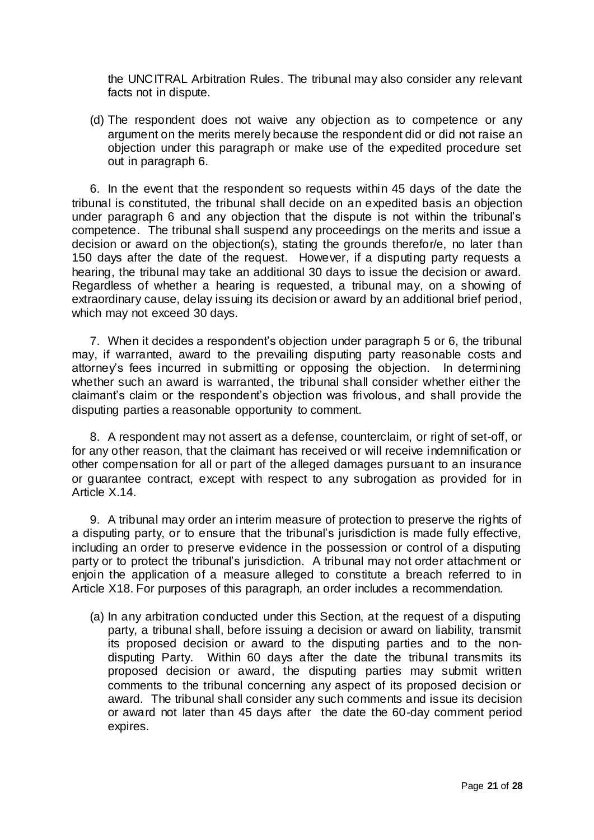the UNCITRAL Arbitration Rules. The tribunal may also consider any relevant facts not in dispute.

(d) The respondent does not waive any objection as to competence or any argument on the merits merely because the respondent did or did not raise an objection under this paragraph or make use of the expedited procedure set out in paragraph 6.

6. In the event that the respondent so requests within 45 days of the date the tribunal is constituted, the tribunal shall decide on an expedited basis an objection under paragraph 6 and any objection that the dispute is not within the tribunal's competence. The tribunal shall suspend any proceedings on the merits and issue a decision or award on the objection(s), stating the grounds therefor/e, no later than 150 days after the date of the request. However, if a disputing party requests a hearing, the tribunal may take an additional 30 days to issue the decision or award. Regardless of whether a hearing is requested, a tribunal may, on a showing of extraordinary cause, delay issuing its decision or award by an additional brief period, which may not exceed 30 days.

7. When it decides a respondent's objection under paragraph 5 or 6, the tribunal may, if warranted, award to the prevailing disputing party reasonable costs and attorney's fees incurred in submitting or opposing the objection. In determining whether such an award is warranted, the tribunal shall consider whether either the claimant's claim or the respondent's objection was frivolous, and shall provide the disputing parties a reasonable opportunity to comment.

8. A respondent may not assert as a defense, counterclaim, or right of set-off, or for any other reason, that the claimant has received or will receive indemnification or other compensation for all or part of the alleged damages pursuant to an insurance or guarantee contract, except with respect to any subrogation as provided for in Article X.14.

9. A tribunal may order an interim measure of protection to preserve the rights of a disputing party, or to ensure that the tribunal's jurisdiction is made fully effective, including an order to preserve evidence in the possession or control of a disputing party or to protect the tribunal's jurisdiction. A tribunal may not order attachment or enjoin the application of a measure alleged to constitute a breach referred to in Article X18. For purposes of this paragraph, an order includes a recommendation.

(a) In any arbitration conducted under this Section, at the request of a disputing party, a tribunal shall, before issuing a decision or award on liability, transmit its proposed decision or award to the disputing parties and to the nondisputing Party. Within 60 days after the date the tribunal transmits its proposed decision or award, the disputing parties may submit written comments to the tribunal concerning any aspect of its proposed decision or award. The tribunal shall consider any such comments and issue its decision or award not later than 45 days after the date the 60-day comment period expires.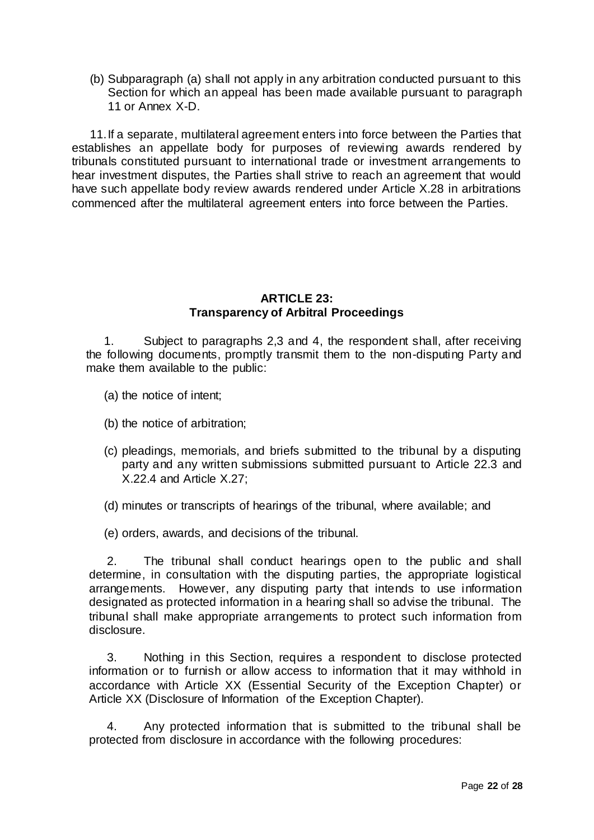(b) Subparagraph (a) shall not apply in any arbitration conducted pursuant to this Section for which an appeal has been made available pursuant to paragraph 11 or Annex X-D.

11.If a separate, multilateral agreement enters into force between the Parties that establishes an appellate body for purposes of reviewing awards rendered by tribunals constituted pursuant to international trade or investment arrangements to hear investment disputes, the Parties shall strive to reach an agreement that would have such appellate body review awards rendered under Article X.28 in arbitrations commenced after the multilateral agreement enters into force between the Parties.

### **ARTICLE 23: Transparency of Arbitral Proceedings**

1. Subject to paragraphs 2,3 and 4, the respondent shall, after receiving the following documents, promptly transmit them to the non-disputing Party and make them available to the public:

- (a) the notice of intent;
- (b) the notice of arbitration;
- (c) pleadings, memorials, and briefs submitted to the tribunal by a disputing party and any written submissions submitted pursuant to Article 22.3 and X.22.4 and Article X.27;
- (d) minutes or transcripts of hearings of the tribunal, where available; and
- (e) orders, awards, and decisions of the tribunal.

2. The tribunal shall conduct hearings open to the public and shall determine, in consultation with the disputing parties, the appropriate logistical arrangements. However, any disputing party that intends to use information designated as protected information in a hearing shall so advise the tribunal. The tribunal shall make appropriate arrangements to protect such information from disclosure.

3. Nothing in this Section, requires a respondent to disclose protected information or to furnish or allow access to information that it may withhold in accordance with Article XX (Essential Security of the Exception Chapter) or Article XX (Disclosure of Information of the Exception Chapter).

4. Any protected information that is submitted to the tribunal shall be protected from disclosure in accordance with the following procedures: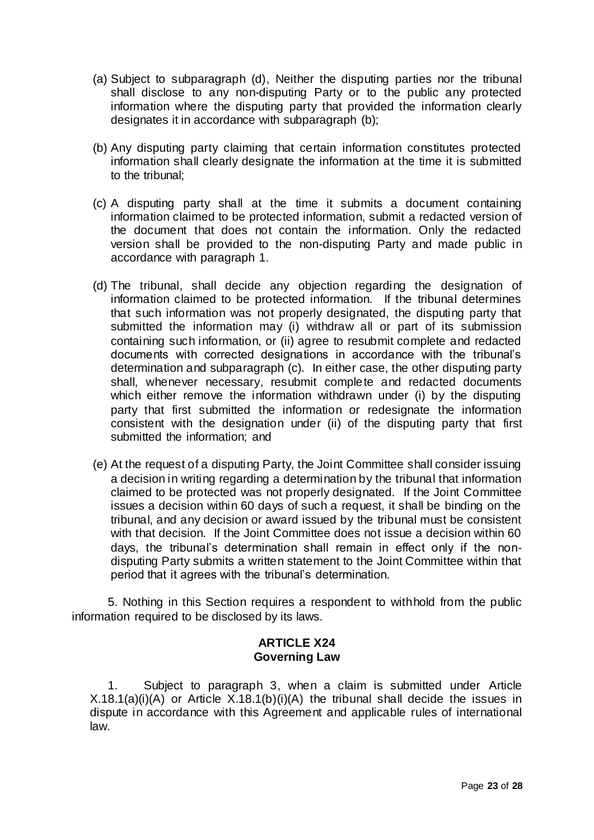- (a) Subject to subparagraph (d), Neither the disputing parties nor the tribunal shall disclose to any non-disputing Party or to the public any protected information where the disputing party that provided the information clearly designates it in accordance with subparagraph (b);
- (b) Any disputing party claiming that certain information constitutes protected information shall clearly designate the information at the time it is submitted to the tribunal;
- (c) A disputing party shall at the time it submits a document containing information claimed to be protected information, submit a redacted version of the document that does not contain the information. Only the redacted version shall be provided to the non-disputing Party and made public in accordance with paragraph 1.
- (d) The tribunal, shall decide any objection regarding the designation of information claimed to be protected information. If the tribunal determines that such information was not properly designated, the disputing party that submitted the information may (i) withdraw all or part of its submission containing such information, or (ii) agree to resubmit complete and redacted documents with corrected designations in accordance with the tribunal's determination and subparagraph (c). In either case, the other disputing party shall, whenever necessary, resubmit complete and redacted documents which either remove the information withdrawn under (i) by the disputing party that first submitted the information or redesignate the information consistent with the designation under (ii) of the disputing party that first submitted the information; and
- (e) At the request of a disputing Party, the Joint Committee shall consider issuing a decision in writing regarding a determination by the tribunal that information claimed to be protected was not properly designated. If the Joint Committee issues a decision within 60 days of such a request, it shall be binding on the tribunal, and any decision or award issued by the tribunal must be consistent with that decision. If the Joint Committee does not issue a decision within 60 days, the tribunal's determination shall remain in effect only if the nondisputing Party submits a written statement to the Joint Committee within that period that it agrees with the tribunal's determination.

5. Nothing in this Section requires a respondent to withhold from the public information required to be disclosed by its laws.

# **ARTICLE X24 Governing Law**

1. Subject to paragraph 3, when a claim is submitted under Article  $X.18.1(a)(i)(A)$  or Article  $X.18.1(b)(i)(A)$  the tribunal shall decide the issues in dispute in accordance with this Agreement and applicable rules of international law.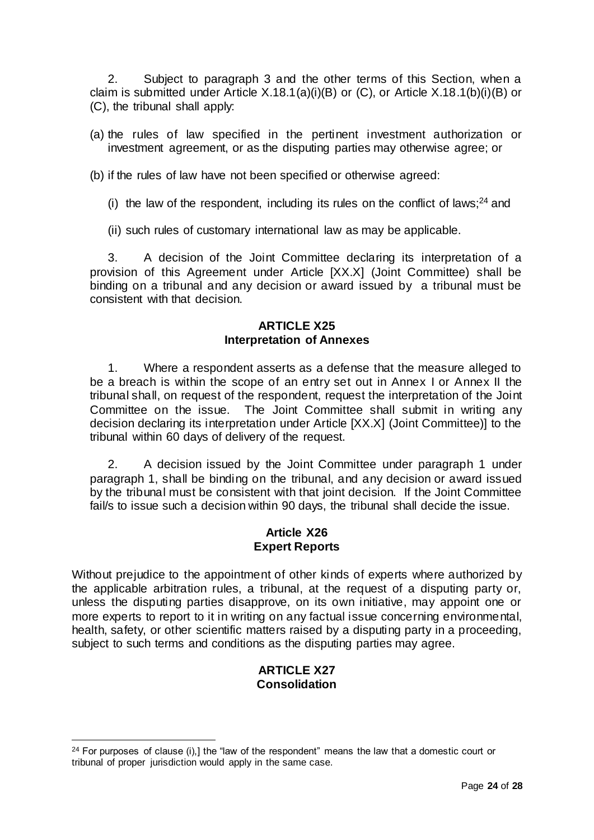2. Subject to paragraph 3 and the other terms of this Section, when a claim is submitted under Article  $X.18.1(a)(i)(B)$  or  $(C)$ , or Article  $X.18.1(b)(i)(B)$  or (C), the tribunal shall apply:

(a) the rules of law specified in the pertinent investment authorization or investment agreement, or as the disputing parties may otherwise agree; or

(b) if the rules of law have not been specified or otherwise agreed:

- (i) the law of the respondent, including its rules on the conflict of laws;  $24$  and
- (ii) such rules of customary international law as may be applicable.

3. A decision of the Joint Committee declaring its interpretation of a provision of this Agreement under Article [XX.X] (Joint Committee) shall be binding on a tribunal and any decision or award issued by a tribunal must be consistent with that decision.

# **ARTICLE X25 Interpretation of Annexes**

1. Where a respondent asserts as a defense that the measure alleged to be a breach is within the scope of an entry set out in Annex I or Annex II the tribunal shall, on request of the respondent, request the interpretation of the Joint Committee on the issue. The Joint Committee shall submit in writing any decision declaring its interpretation under Article [XX.X] (Joint Committee)] to the tribunal within 60 days of delivery of the request.

2. A decision issued by the Joint Committee under paragraph 1 under paragraph 1, shall be binding on the tribunal, and any decision or award issued by the tribunal must be consistent with that joint decision. If the Joint Committee fail/s to issue such a decision within 90 days, the tribunal shall decide the issue.

# **Article X26 Expert Reports**

Without prejudice to the appointment of other kinds of experts where authorized by the applicable arbitration rules, a tribunal, at the request of a disputing party or, unless the disputing parties disapprove, on its own initiative, may appoint one or more experts to report to it in writing on any factual issue concerning environmental, health, safety, or other scientific matters raised by a disputing party in a proceeding, subject to such terms and conditions as the disputing parties may agree.

# **ARTICLE X27 Consolidation**

l

 $24$  For purposes of clause (i),] the "law of the respondent" means the law that a domestic court or tribunal of proper jurisdiction would apply in the same case.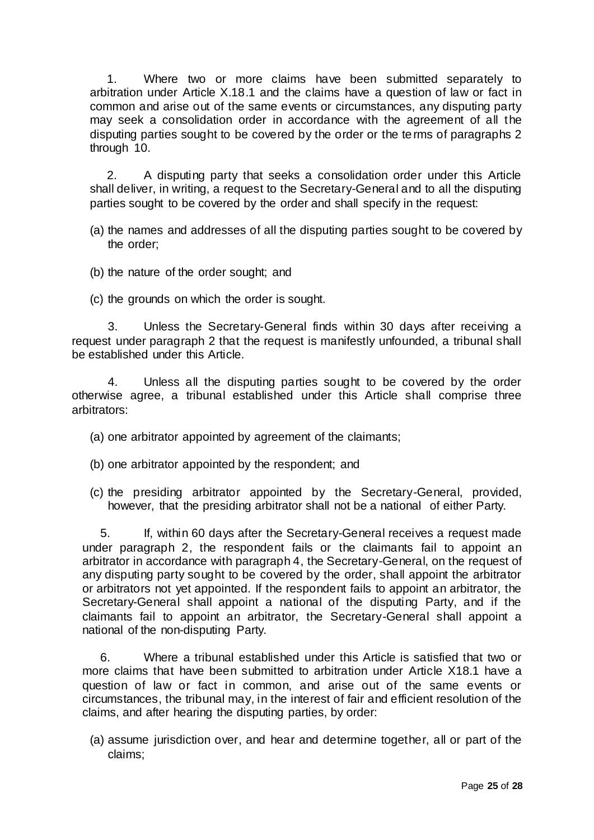1. Where two or more claims have been submitted separately to arbitration under Article X.18.1 and the claims have a question of law or fact in common and arise out of the same events or circumstances, any disputing party may seek a consolidation order in accordance with the agreement of all the disputing parties sought to be covered by the order or the terms of paragraphs 2 through 10.

2. A disputing party that seeks a consolidation order under this Article shall deliver, in writing, a request to the Secretary-General and to all the disputing parties sought to be covered by the order and shall specify in the request:

- (a) the names and addresses of all the disputing parties sought to be covered by the order;
- (b) the nature of the order sought; and
- (c) the grounds on which the order is sought.

3. Unless the Secretary-General finds within 30 days after receiving a request under paragraph 2 that the request is manifestly unfounded, a tribunal shall be established under this Article.

4. Unless all the disputing parties sought to be covered by the order otherwise agree, a tribunal established under this Article shall comprise three arbitrators:

- (a) one arbitrator appointed by agreement of the claimants;
- (b) one arbitrator appointed by the respondent; and
- (c) the presiding arbitrator appointed by the Secretary-General, provided, however, that the presiding arbitrator shall not be a national of either Party.

5. If, within 60 days after the Secretary-General receives a request made under paragraph 2, the respondent fails or the claimants fail to appoint an arbitrator in accordance with paragraph 4, the Secretary-General, on the request of any disputing party sought to be covered by the order, shall appoint the arbitrator or arbitrators not yet appointed. If the respondent fails to appoint an arbitrator, the Secretary-General shall appoint a national of the disputing Party, and if the claimants fail to appoint an arbitrator, the Secretary-General shall appoint a national of the non-disputing Party.

6. Where a tribunal established under this Article is satisfied that two or more claims that have been submitted to arbitration under Article X18.1 have a question of law or fact in common, and arise out of the same events or circumstances, the tribunal may, in the interest of fair and efficient resolution of the claims, and after hearing the disputing parties, by order:

(a) assume jurisdiction over, and hear and determine together, all or part of the claims;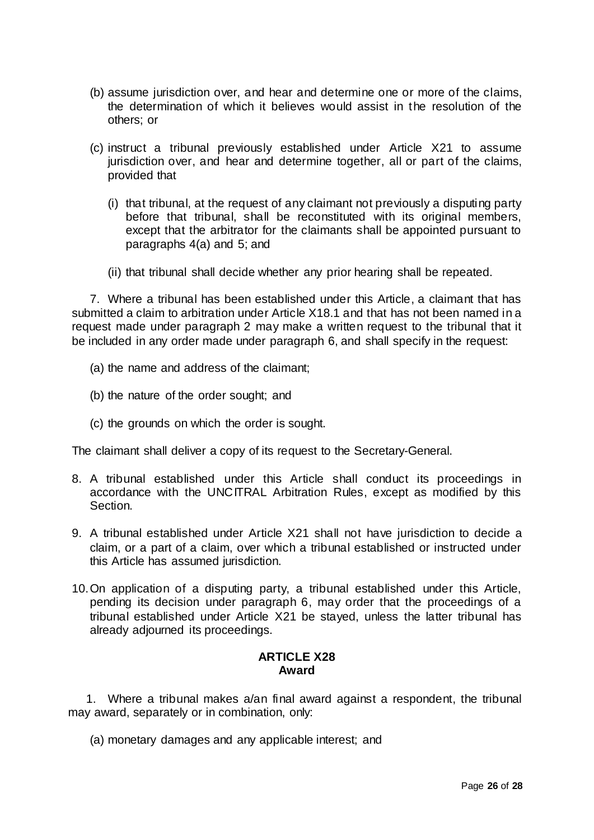- (b) assume jurisdiction over, and hear and determine one or more of the claims, the determination of which it believes would assist in the resolution of the others; or
- (c) instruct a tribunal previously established under Article X21 to assume jurisdiction over, and hear and determine together, all or part of the claims, provided that
	- (i) that tribunal, at the request of any claimant not previously a disputing party before that tribunal, shall be reconstituted with its original members, except that the arbitrator for the claimants shall be appointed pursuant to paragraphs 4(a) and 5; and
	- (ii) that tribunal shall decide whether any prior hearing shall be repeated.

7. Where a tribunal has been established under this Article, a claimant that has submitted a claim to arbitration under Article X18.1 and that has not been named in a request made under paragraph 2 may make a written request to the tribunal that it be included in any order made under paragraph 6, and shall specify in the request:

- (a) the name and address of the claimant;
- (b) the nature of the order sought; and
- (c) the grounds on which the order is sought.

The claimant shall deliver a copy of its request to the Secretary-General.

- 8. A tribunal established under this Article shall conduct its proceedings in accordance with the UNCITRAL Arbitration Rules, except as modified by this Section.
- 9. A tribunal established under Article X21 shall not have jurisdiction to decide a claim, or a part of a claim, over which a tribunal established or instructed under this Article has assumed jurisdiction.
- 10.On application of a disputing party, a tribunal established under this Article, pending its decision under paragraph 6, may order that the proceedings of a tribunal established under Article X21 be stayed, unless the latter tribunal has already adjourned its proceedings.

#### **ARTICLE X28 Award**

1. Where a tribunal makes a/an final award against a respondent, the tribunal may award, separately or in combination, only:

(a) monetary damages and any applicable interest; and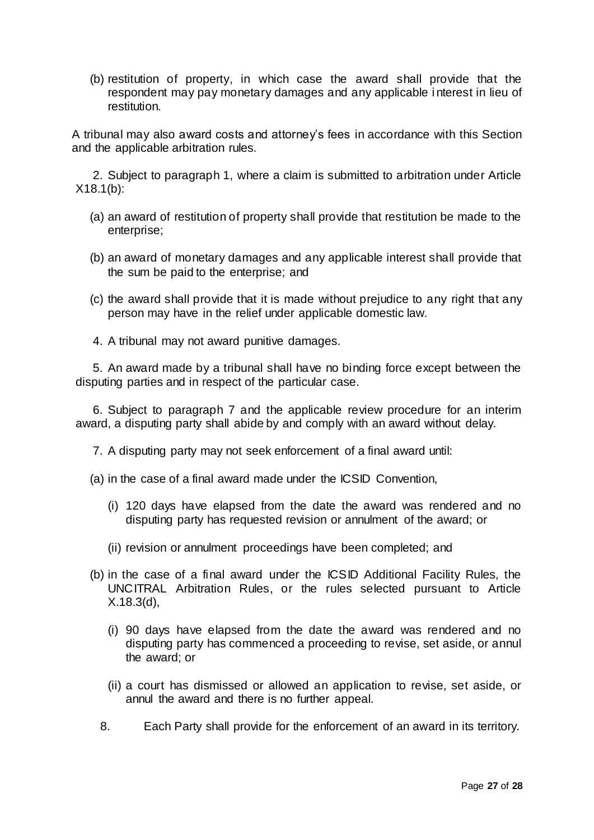(b) restitution of property, in which case the award shall provide that the respondent may pay monetary damages and any applicable i nterest in lieu of restitution.

A tribunal may also award costs and attorney's fees in accordance with this Section and the applicable arbitration rules.

2. Subject to paragraph 1, where a claim is submitted to arbitration under Article X18.1(b):

- (a) an award of restitution of property shall provide that restitution be made to the enterprise;
- (b) an award of monetary damages and any applicable interest shall provide that the sum be paid to the enterprise; and
- (c) the award shall provide that it is made without prejudice to any right that any person may have in the relief under applicable domestic law.
- 4. A tribunal may not award punitive damages.

5. An award made by a tribunal shall have no binding force except between the disputing parties and in respect of the particular case.

6. Subject to paragraph 7 and the applicable review procedure for an interim award, a disputing party shall abide by and comply with an award without delay.

7. A disputing party may not seek enforcement of a final award until:

(a) in the case of a final award made under the ICSID Convention,

- (i) 120 days have elapsed from the date the award was rendered and no disputing party has requested revision or annulment of the award; or
- (ii) revision or annulment proceedings have been completed; and
- (b) in the case of a final award under the ICSID Additional Facility Rules, the UNCITRAL Arbitration Rules, or the rules selected pursuant to Article X.18.3(d),
	- (i) 90 days have elapsed from the date the award was rendered and no disputing party has commenced a proceeding to revise, set aside, or annul the award; or
	- (ii) a court has dismissed or allowed an application to revise, set aside, or annul the award and there is no further appeal.
	- 8. Each Party shall provide for the enforcement of an award in its territory.